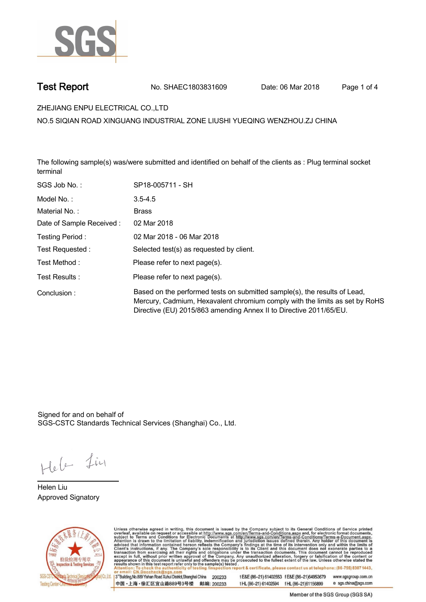

**Test Report. No. SHAEC1803831609 Date: 06 Mar 2018 . Page 1 of 4.**

**ZHEJIANG ENPU ELECTRICAL CO.,LTD .**

**NO.5 SIQIAN ROAD XINGUANG INDUSTRIAL ZONE LIUSHI YUEQING WENZHOU.ZJ CHINA**

**The following sample(s) was/were submitted and identified on behalf of the clients as : Plug terminal socket terminal.**

| SP18-005711 - SH                                                                                                                                                                                                               |
|--------------------------------------------------------------------------------------------------------------------------------------------------------------------------------------------------------------------------------|
| $3.5 - 4.5$                                                                                                                                                                                                                    |
| <b>Brass</b>                                                                                                                                                                                                                   |
| 02 Mar 2018                                                                                                                                                                                                                    |
| 02 Mar 2018 - 06 Mar 2018                                                                                                                                                                                                      |
| Selected test(s) as requested by client.                                                                                                                                                                                       |
| Please refer to next page(s).                                                                                                                                                                                                  |
| Please refer to next page(s).                                                                                                                                                                                                  |
| Based on the performed tests on submitted sample(s), the results of Lead,<br>Mercury, Cadmium, Hexavalent chromium comply with the limits as set by RoHS<br>Directive (EU) 2015/863 amending Annex II to Directive 2011/65/EU. |
|                                                                                                                                                                                                                                |

Signed for and on behalf of SGS-CSTC Standards Technical Services (Shanghai) Co., Ltd..

Heb Lin

**Helen Liu. Approved Signatory .**



Unless otherwise agreed in writing, this document is issued by the Company subject to its General Conditions of Service printed overleaf, available on request or accessible at http://www.sgs.com/en/Terms-and-Conditions.asp ion report & certificate, please contact us at telephone: (86-755) 8307 1443, testing /insp

3<sup>rd</sup>Building, No.889 Yishan Road Xuhui District, Shanghai China 200233 中国·上海·徐汇区宜山路889号3号楼 邮编: 200233 t E&E (86-21) 61402553 f E&E (86-21)64953679 www.sgsgroup.com.cn t HL (86-21) 61402594 f HL (86-21) 61156899 e sgs.china@sgs.com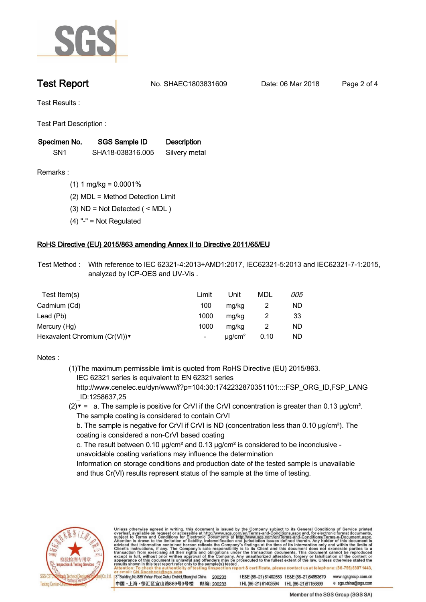

**Test Report. No. SHAEC1803831609 Date: 06 Mar 2018 . Page 2 of 4.**

**Test Results :.**

**Test Part Description : .**

| Specimen No.    | SGS Sample ID    | <b>Description</b> |  |
|-----------------|------------------|--------------------|--|
| SN <sub>1</sub> | SHA18-038316.005 | Silvery metal      |  |

- **Remarks :.(1) 1 mg/kg = 0.0001% .**
	- **(2) MDL = Method Detection Limit .**
	- **(3) ND = Not Detected ( < MDL ) .**
	- **(4) "-" = Not Regulated .**

## **RoHS Directive (EU) 2015/863 amending Annex II to Directive 2011/65/EU.**

**Test Method :. With reference to IEC 62321-4:2013+AMD1:2017, IEC62321-5:2013 and IEC62321-7-1:2015, analyzed by ICP-OES and UV-Vis . .**

| Test Item(s)                 | Limit                    | <u>Unit</u>             | <u>MDL</u> | <u>005</u> |
|------------------------------|--------------------------|-------------------------|------------|------------|
| Cadmium (Cd)                 | 100                      | mg/kg                   |            | ND         |
| Lead (Pb)                    | 1000                     | mg/kg                   | 2          | 33         |
| Mercury (Hg)                 | 1000                     | mg/kg                   |            | ND         |
| Hexavalent Chromium (Cr(VI)) | $\overline{\phantom{0}}$ | $\mu$ g/cm <sup>2</sup> | 0.10       | ND         |

### **Notes :.**

**(1)The maximum permissible limit is quoted from RoHS Directive (EU) 2015/863. IEC 62321 series is equivalent to EN 62321 series**

 **http://www.cenelec.eu/dyn/www/f?p=104:30:1742232870351101::::FSP\_ORG\_ID,FSP\_LANG \_ID:1258637,25**

**(2)▼ = a. The sample is positive for CrVI if the CrVI concentration is greater than 0.13 μg/cm². The sample coating is considered to contain CrVI**

 **b. The sample is negative for CrVI if CrVI is ND (concentration less than 0.10 μg/cm²). The coating is considered a non-CrVI based coating**

 **c. The result between 0.10 μg/cm² and 0.13 μg/cm² is considered to be inconclusive - unavoidable coating variations may influence the determination** 

 **Information on storage conditions and production date of the tested sample is unavailable and thus Cr(VI) results represent status of the sample at the time of testing. .**



Unless otherwise agreed in writing, this document is issued by the Company subject to its General Conditions of Service printed overleaf, available on request or accessible at http://www.sgs.com/en/Terms-and-Conditions.asp ion report & certificate, please contact us at telephone: (86-755) 8307 1443, testing /ins

13<sup>rd</sup> Building, No.889 Yishan Road Xuhui District, Shanghai China 200233 中国·上海·徐汇区宜山路889号3号楼 邮编: 200233 t E&E (86-21) 61402553 f E&E (86-21)64953679 www.sgsgroup.com.cn e sgs.china@sgs.com tHL (86-21) 61402594 fHL (86-21) 61156899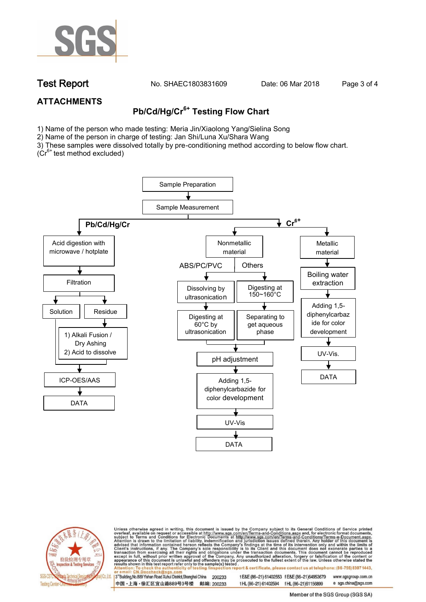

**Test Report. No. SHAEC1803831609 Date: 06 Mar 2018 . Page 3 of 4.**

# **ATTACHMENTS**

# **Pb/Cd/Hg/Cr6+ Testing Flow Chart**

1) Name of the person who made testing: Meria Jin/Xiaolong Yang/Sielina Song

2) Name of the person in charge of testing: Jan Shi/Luna Xu/Shara Wang

3) These samples were dissolved totally by pre-conditioning method according to below flow chart.

 $(Cr^{6+})$  test method excluded)





Unless otherwise agreed in writing, this document is issued by the Company subject to its General Conditions of Service printed overleaf, available on request or accessible at http://www.sgs.com/en/Terms-and-Conditions.asp ion report & certificate, please contact us at telephone: (86-755) 8307 1443, esting/ins

13<sup>rd</sup> Building, No.889 Yishan Road Xuhui District, Shanghai China 200233 中国·上海·徐汇区宜山路889号3号楼 邮编: 200233 t E&E (86-21) 61402553 f E&E (86-21)64953679 www.sgsgroup.com.cn

t HL (86-21) 61402594 f HL (86-21)61156899

e sgs.china@sgs.com